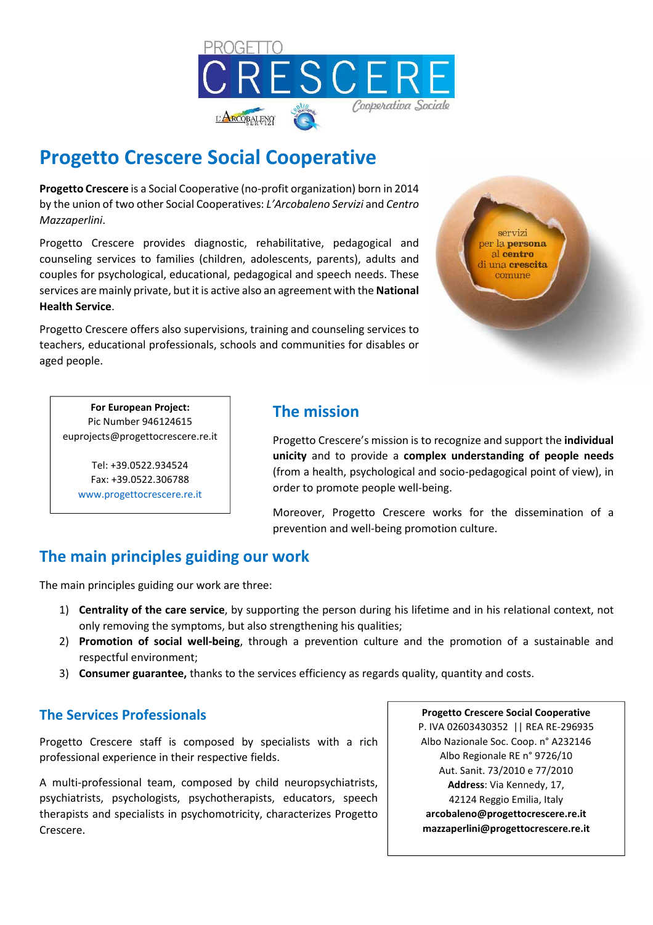

# **Progetto Crescere Social Cooperative**

**Progetto Crescere** is a Social Cooperative (no-profit organization) born in 2014 by the union of two other Social Cooperatives: *L'Arcobaleno Servizi* and *Centro Mazzaperlini*.

Progetto Crescere provides diagnostic, rehabilitative, pedagogical and counseling services to families (children, adolescents, parents), adults and couples for psychological, educational, pedagogical and speech needs. These services are mainly private, but it is active also an agreement with the **National Health Service**.

Progetto Crescere offers also supervisions, training and counseling services to teachers, educational professionals, schools and communities for disables or aged people.



**For European Project:**  Pic Number 946124615 euprojects@progettocrescere.re.it

> Tel: +39.0522.934524 Fax: +39.0522.306788 www.progettocrescere.re.it

# **The mission**

Progetto Crescere's mission is to recognize and support the **individual unicity** and to provide a **complex understanding of people needs**  (from a health, psychological and socio-pedagogical point of view), in order to promote people well-being.

Moreover, Progetto Crescere works for the dissemination of a prevention and well-being promotion culture.

# **The main principles guiding our work**

The main principles guiding our work are three:

- 1) **Centrality of the care service**, by supporting the person during his lifetime and in his relational context, not only removing the symptoms, but also strengthening his qualities;
- 2) **Promotion of social well-being**, through a prevention culture and the promotion of a sustainable and respectful environment;
- 3) **Consumer guarantee,** thanks to the services efficiency as regards quality, quantity and costs.

# **The Services Professionals**

Progetto Crescere staff is composed by specialists with a rich professional experience in their respective fields.

A multi-professional team, composed by child neuropsychiatrists, psychiatrists, psychologists, psychotherapists, educators, speech therapists and specialists in psychomotricity, characterizes Progetto Crescere.

**Progetto Crescere Social Cooperative**  P. IVA 02603430352 || REA RE-296935 Albo Nazionale Soc. Coop. n° A232146 Albo Regionale RE n° 9726/10 Aut. Sanit. 73/2010 e 77/2010 **Address**: Via Kennedy, 17, 42124 Reggio Emilia, Italy **arcobaleno@progettocrescere.re.it mazzaperlini@progettocrescere.re.it**